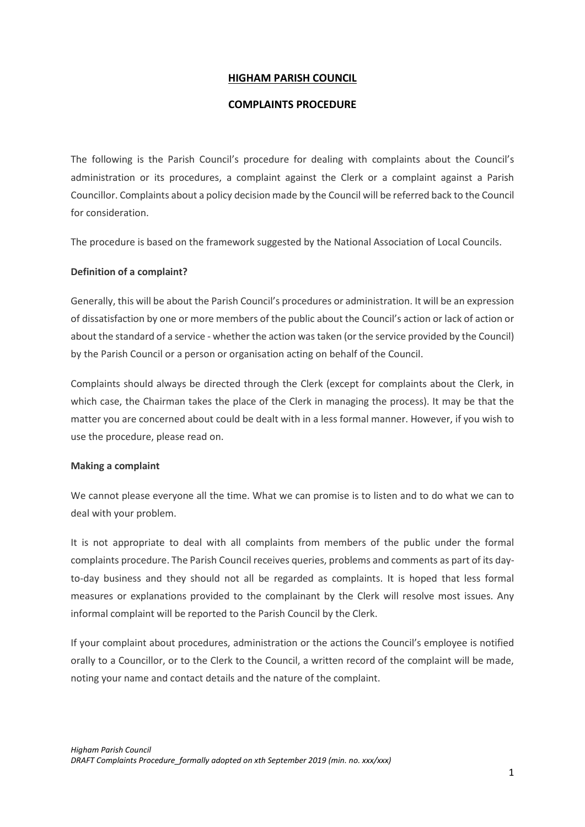# **HIGHAM PARISH COUNCIL**

### **COMPLAINTS PROCEDURE**

The following is the Parish Council's procedure for dealing with complaints about the Council's administration or its procedures, a complaint against the Clerk or a complaint against a Parish Councillor. Complaints about a policy decision made by the Council will be referred back to the Council for consideration.

The procedure is based on the framework suggested by the National Association of Local Councils.

## **Definition of a complaint?**

Generally, this will be about the Parish Council's procedures or administration. It will be an expression of dissatisfaction by one or more members of the public about the Council's action or lack of action or about the standard of a service - whether the action was taken (or the service provided by the Council) by the Parish Council or a person or organisation acting on behalf of the Council.

Complaints should always be directed through the Clerk (except for complaints about the Clerk, in which case, the Chairman takes the place of the Clerk in managing the process). It may be that the matter you are concerned about could be dealt with in a less formal manner. However, if you wish to use the procedure, please read on.

### **Making a complaint**

We cannot please everyone all the time. What we can promise is to listen and to do what we can to deal with your problem.

It is not appropriate to deal with all complaints from members of the public under the formal complaints procedure. The Parish Council receives queries, problems and comments as part of its dayto-day business and they should not all be regarded as complaints. It is hoped that less formal measures or explanations provided to the complainant by the Clerk will resolve most issues. Any informal complaint will be reported to the Parish Council by the Clerk.

If your complaint about procedures, administration or the actions the Council's employee is notified orally to a Councillor, or to the Clerk to the Council, a written record of the complaint will be made, noting your name and contact details and the nature of the complaint.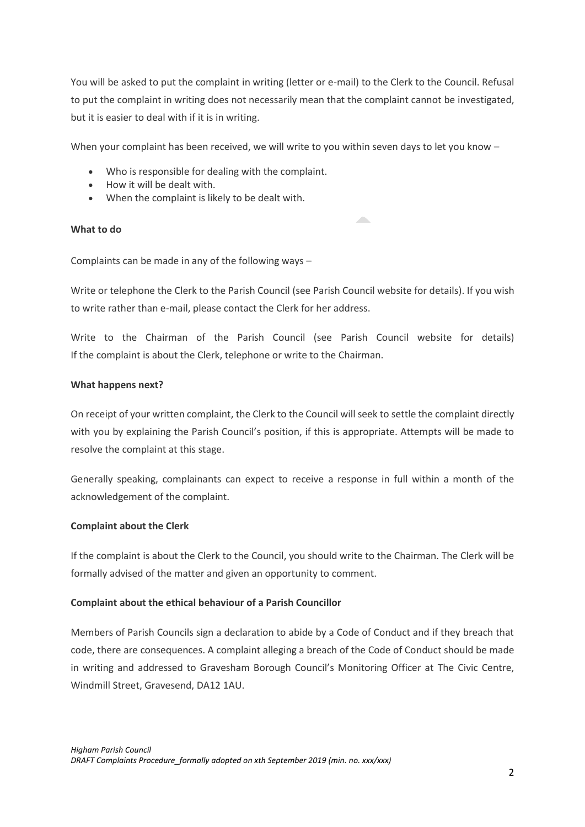You will be asked to put the complaint in writing (letter or e-mail) to the Clerk to the Council. Refusal to put the complaint in writing does not necessarily mean that the complaint cannot be investigated, but it is easier to deal with if it is in writing.

When your complaint has been received, we will write to you within seven days to let you know -

- Who is responsible for dealing with the complaint.
- How it will be dealt with.
- When the complaint is likely to be dealt with.

#### **What to do**

Complaints can be made in any of the following ways –

Write or telephone the Clerk to the Parish Council (see Parish Council website for details). If you wish to write rather than e-mail, please contact the Clerk for her address.

**Allen** 

Write to the Chairman of the Parish Council (see Parish Council website for details) If the complaint is about the Clerk, telephone or write to the Chairman.

### **What happens next?**

On receipt of your written complaint, the Clerk to the Council will seek to settle the complaint directly with you by explaining the Parish Council's position, if this is appropriate. Attempts will be made to resolve the complaint at this stage.

Generally speaking, complainants can expect to receive a response in full within a month of the acknowledgement of the complaint.

### **Complaint about the Clerk**

If the complaint is about the Clerk to the Council, you should write to the Chairman. The Clerk will be formally advised of the matter and given an opportunity to comment.

### **Complaint about the ethical behaviour of a Parish Councillor**

Members of Parish Councils sign a declaration to abide by a Code of Conduct and if they breach that code, there are consequences. A complaint alleging a breach of the Code of Conduct should be made in writing and addressed to Gravesham Borough Council's Monitoring Officer at The Civic Centre, Windmill Street, Gravesend, DA12 1AU.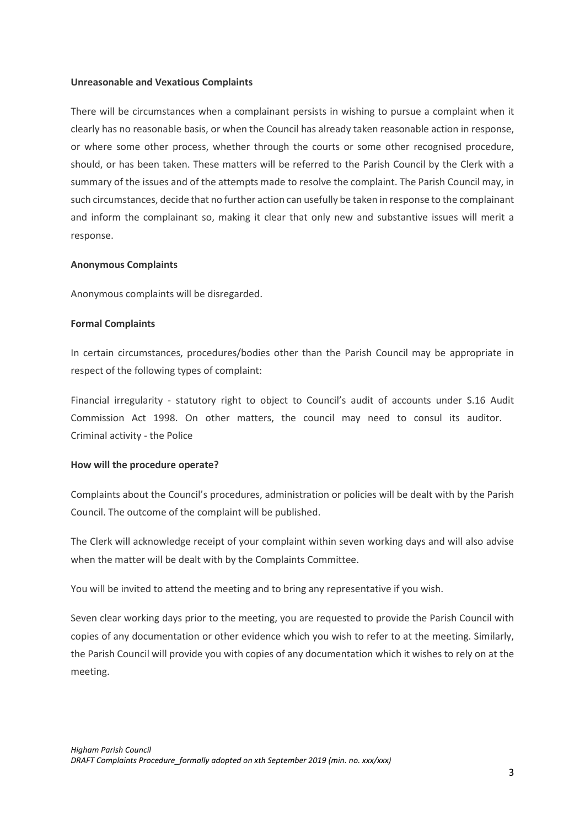#### **Unreasonable and Vexatious Complaints**

There will be circumstances when a complainant persists in wishing to pursue a complaint when it clearly has no reasonable basis, or when the Council has already taken reasonable action in response, or where some other process, whether through the courts or some other recognised procedure, should, or has been taken. These matters will be referred to the Parish Council by the Clerk with a summary of the issues and of the attempts made to resolve the complaint. The Parish Council may, in such circumstances, decide that no further action can usefully be taken in response to the complainant and inform the complainant so, making it clear that only new and substantive issues will merit a response.

### **Anonymous Complaints**

Anonymous complaints will be disregarded.

#### **Formal Complaints**

In certain circumstances, procedures/bodies other than the Parish Council may be appropriate in respect of the following types of complaint:

Financial irregularity - statutory right to object to Council's audit of accounts under S.16 Audit Commission Act 1998. On other matters, the council may need to consul its auditor. Criminal activity - the Police

### **How will the procedure operate?**

Complaints about the Council's procedures, administration or policies will be dealt with by the Parish Council. The outcome of the complaint will be published.

The Clerk will acknowledge receipt of your complaint within seven working days and will also advise when the matter will be dealt with by the Complaints Committee.

You will be invited to attend the meeting and to bring any representative if you wish.

Seven clear working days prior to the meeting, you are requested to provide the Parish Council with copies of any documentation or other evidence which you wish to refer to at the meeting. Similarly, the Parish Council will provide you with copies of any documentation which it wishes to rely on at the meeting.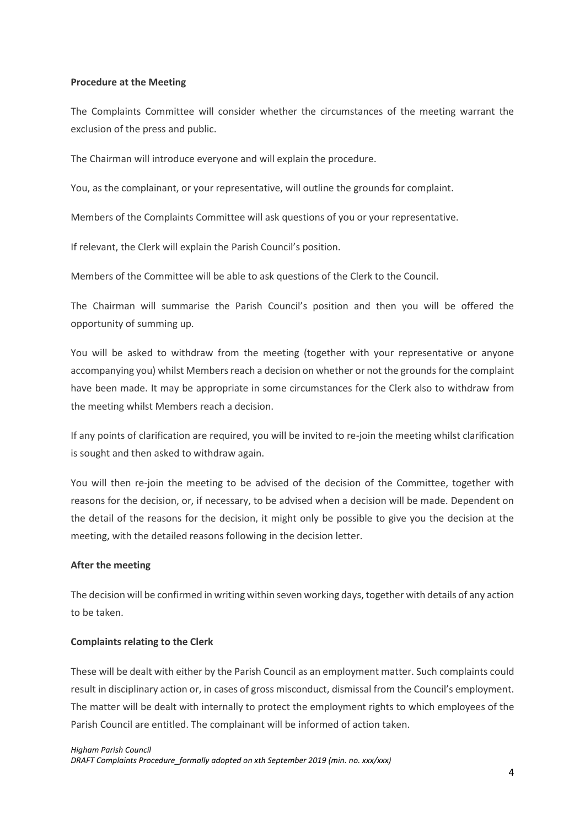### **Procedure at the Meeting**

The Complaints Committee will consider whether the circumstances of the meeting warrant the exclusion of the press and public.

The Chairman will introduce everyone and will explain the procedure.

You, as the complainant, or your representative, will outline the grounds for complaint.

Members of the Complaints Committee will ask questions of you or your representative.

If relevant, the Clerk will explain the Parish Council's position.

Members of the Committee will be able to ask questions of the Clerk to the Council.

The Chairman will summarise the Parish Council's position and then you will be offered the opportunity of summing up.

You will be asked to withdraw from the meeting (together with your representative or anyone accompanying you) whilst Members reach a decision on whether or not the grounds for the complaint have been made. It may be appropriate in some circumstances for the Clerk also to withdraw from the meeting whilst Members reach a decision.

If any points of clarification are required, you will be invited to re-join the meeting whilst clarification is sought and then asked to withdraw again.

You will then re-join the meeting to be advised of the decision of the Committee, together with reasons for the decision, or, if necessary, to be advised when a decision will be made. Dependent on the detail of the reasons for the decision, it might only be possible to give you the decision at the meeting, with the detailed reasons following in the decision letter.

### **After the meeting**

The decision will be confirmed in writing within seven working days, together with details of any action to be taken.

### **Complaints relating to the Clerk**

These will be dealt with either by the Parish Council as an employment matter. Such complaints could result in disciplinary action or, in cases of gross misconduct, dismissal from the Council's employment. The matter will be dealt with internally to protect the employment rights to which employees of the Parish Council are entitled. The complainant will be informed of action taken.